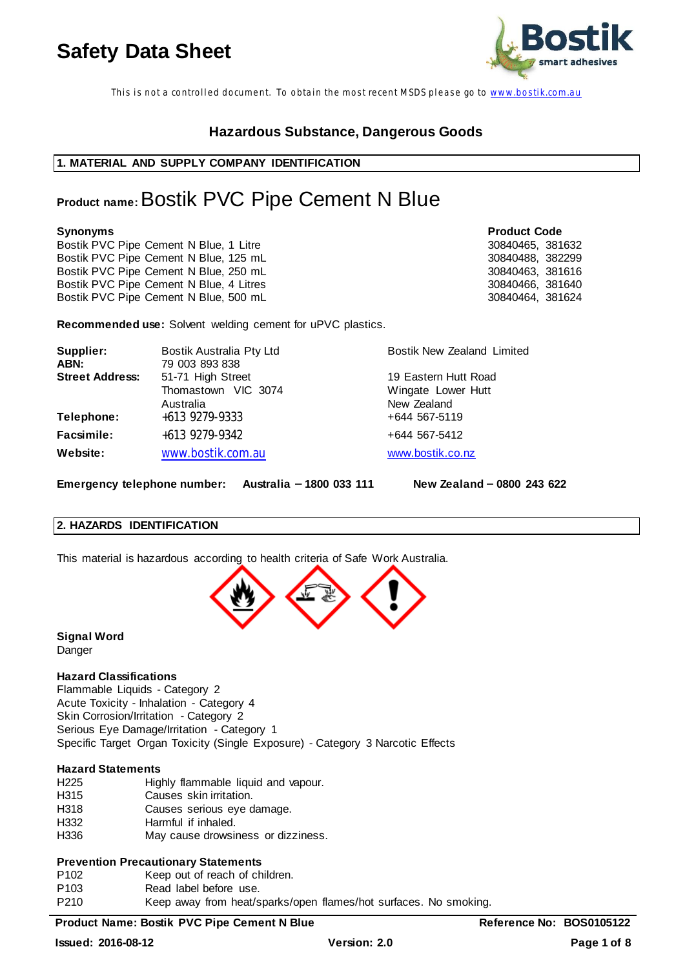

This is not a controlled document. To obtain the most recent MSDS please go to www.bostik.com.au

# **Hazardous Substance, Dangerous Goods**

### **1. MATERIAL AND SUPPLY COMPANY IDENTIFICATION**

# **Product name:** Bostik PVC Pipe Cement N Blue

**Synonyms Product Code** Bostik PVC Pipe Cement N Blue, 1 Litre<br>Bostik PVC Pipe Cement N Blue, 125 mL<br>30840488, 382299 Bostik PVC Pipe Cement N Blue, 125 mL<br>Bostik PVC Pipe Cement N Blue, 250 mL<br>30840463, 381616 Bostik PVC Pipe Cement N Blue, 250 mL Bostik PVC Pipe Cement N Blue, 4 Litres 30840466, 381640 30840466, 381640<br>Bostik PVC Pipe Cement N Blue, 500 mL Bostik PVC Pipe Cement N Blue, 500 mL

**Recommended use:** Solvent welding cement for uPVC plastics.

| Supplier:<br>ABN:      | Bostik Australia Pty Ltd<br>79 003 893 838         | <b>Bostik New Zealand Limited</b>                  |
|------------------------|----------------------------------------------------|----------------------------------------------------|
| <b>Street Address:</b> | 51-71 High Street                                  | 19 Eastern Hutt Road                               |
| Telephone:             | Thomastown VIC 3074<br>Australia<br>+613 9279-9333 | Wingate Lower Hutt<br>New Zealand<br>+644 567-5119 |
| <b>Facsimile:</b>      | +613 9279-9342                                     | +644 567-5412                                      |
| Website:               | www.bostik.com.au                                  | www.bostik.co.nz                                   |

Emergency telephone number: Australia - 1800 033 111 New Zealand - 0800 243 622

### **2. HAZARDS IDENTIFICATION**

This material is hazardous according to health criteria of Safe Work Australia.



**Signal Word** Danger

## **Hazard Classifications**

Flammable Liquids - Category 2 Acute Toxicity - Inhalation - Category 4 Skin Corrosion/Irritation - Category 2 Serious Eye Damage/Irritation - Category 1 Specific Target Organ Toxicity (Single Exposure) - Category 3 Narcotic Effects

### **Hazard Statements**

| H <sub>225</sub> | Highly flammable liquid and vapour. |
|------------------|-------------------------------------|
| H315             | Causes skin irritation.             |
| H318             | Causes serious eye damage.          |
| H332             | Harmful if inhaled.                 |
| H336             | May cause drowsiness or dizziness.  |

### **Prevention Precautionary Statements**

- P102 Keep out of reach of children.
- P103 Read label before use.

P210 Keep away from heat/sparks/open flames/hot surfaces. No smoking.

### **Product Name: Bostik PVC Pipe Cement N Blue Reference No: BOS0105122**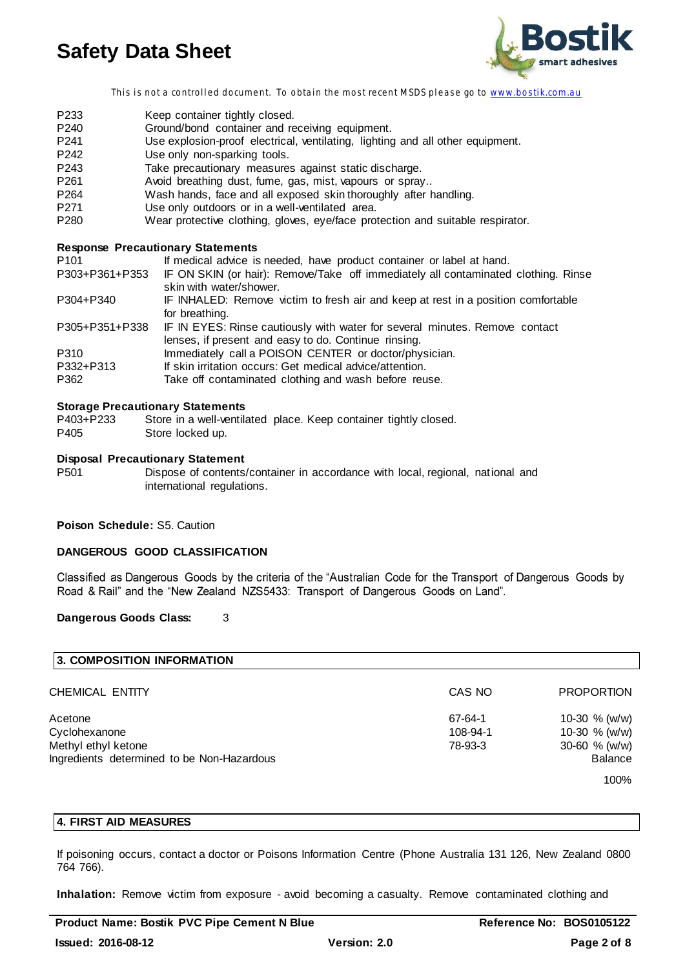

This is not a controlled document. To obtain the most recent MSDS please go to www.bostik.com.au

- P233 Keep container tightly closed. P240 Ground/bond container and receiving equipment. P241 Use explosion-proof electrical, ventilating, lighting and all other equipment. P242 Use only non-sparking tools. P243 Take precautionary measures against static discharge. P261 Avoid breathing dust, fume, gas, mist, vapours or spray.. P264 Wash hands, face and all exposed skin thoroughly after handling.<br>P271 Use only outdoors or in a well-ventilated area. P271 Use only outdoors or in a well-ventilated area.<br>
P280 Wear protective clothing. gloves. eve/face prot
- Wear protective clothing, gloves, eye/face protection and suitable respirator.

### **Response Precautionary Statements**

| P <sub>101</sub>  | If medical advice is needed, have product container or label at hand.                                                               |
|-------------------|-------------------------------------------------------------------------------------------------------------------------------------|
| P303+P361+P353    | IF ON SKIN (or hair): Remove/Take off immediately all contaminated clothing. Rinse<br>skin with water/shower.                       |
| P304+P340         | IF INHALED: Remove victim to fresh air and keep at rest in a position comfortable<br>for breathing.                                 |
| P305+P351+P338    | IF IN EYES: Rinse cautiously with water for several minutes. Remove contact<br>lenses, if present and easy to do. Continue rinsing. |
| P310              | Immediately call a POISON CENTER or doctor/physician.                                                                               |
| P332+P313<br>P362 | If skin irritation occurs: Get medical advice/attention.<br>Take off contaminated clothing and wash before reuse.                   |

#### **Storage Precautionary Statements**

| P403+P233 | Store in a well-ventilated place. Keep container tightly closed. |
|-----------|------------------------------------------------------------------|
| P405      | Store locked up.                                                 |

#### **Disposal Precautionary Statement**

P501 Dispose of contents/container in accordance with local, regional, national and international regulations.

#### **Poison Schedule:** S5. Caution

### **DANGEROUS GOOD CLASSIFICATION**

Classified as Dangerous Goods by the criteria of the "Australian Code for the Transport of Dangerous Goods by Road & Rail" and the "New Zealand NZS5433: Transport of Dangerous Goods on Land".

#### **Dangerous Goods Class:** 3

| 3. COMPOSITION INFORMATION                 |          |                   |
|--------------------------------------------|----------|-------------------|
| CHEMICAL ENTITY                            | CAS NO   | <b>PROPORTION</b> |
| Acetone                                    | 67-64-1  | 10-30 $% (w/w)$   |
| Cyclohexanone                              | 108-94-1 | 10-30 $% (w/w)$   |
| Methyl ethyl ketone                        | 78-93-3  | 30-60 $% (w/w)$   |
| Ingredients determined to be Non-Hazardous |          | <b>Balance</b>    |
|                                            |          | 100%              |

### **4. FIRST AID MEASURES**

If poisoning occurs, contact a doctor or Poisons Information Centre (Phone Australia 131 126, New Zealand 0800 764 766).

**Inhalation:** Remove victim from exposure - avoid becoming a casualty. Remove contaminated clothing and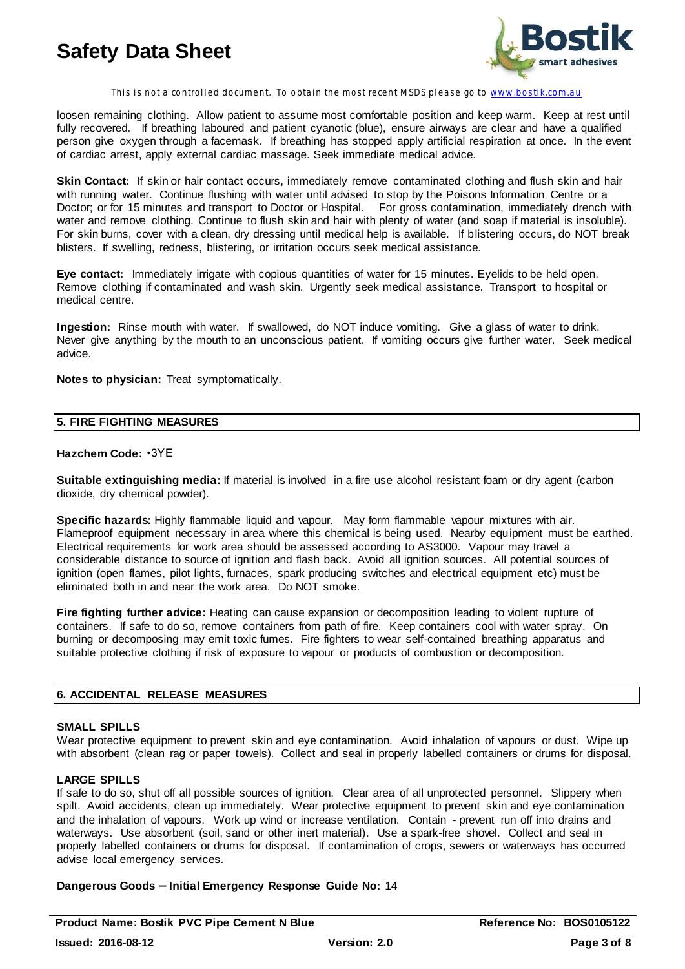

This is not a controlled document. To obtain the most recent MSDS please go to www.bostik.com.au

loosen remaining clothing. Allow patient to assume most comfortable position and keep warm. Keep at rest until fully recovered. If breathing laboured and patient cyanotic (blue), ensure airways are clear and have a qualified person give oxygen through a facemask. If breathing has stopped apply artificial respiration at once. In the event of cardiac arrest, apply external cardiac massage. Seek immediate medical advice.

**Skin Contact:** If skin or hair contact occurs, immediately remove contaminated clothing and flush skin and hair with running water. Continue flushing with water until advised to stop by the Poisons Information Centre or a Doctor; or for 15 minutes and transport to Doctor or Hospital. For gross contamination, immediately drench with water and remove clothing. Continue to flush skin and hair with plenty of water (and soap if material is insoluble). For skin burns, cover with a clean, dry dressing until medical help is available. If blistering occurs, do NOT break blisters. If swelling, redness, blistering, or irritation occurs seek medical assistance.

**Eye contact:** Immediately irrigate with copious quantities of water for 15 minutes. Eyelids to be held open. Remove clothing if contaminated and wash skin. Urgently seek medical assistance. Transport to hospital or medical centre.

**Ingestion:** Rinse mouth with water. If swallowed, do NOT induce vomiting. Give a glass of water to drink. Never give anything by the mouth to an unconscious patient. If vomiting occurs give further water. Seek medical advice.

**Notes to physician:** Treat symptomatically.

#### **5. FIRE FIGHTING MEASURES**

#### **Hazchem Code:**

**Suitable extinguishing media:** If material is involved in a fire use alcohol resistant foam or dry agent (carbon dioxide, dry chemical powder).

**Specific hazards:** Highly flammable liquid and vapour. May form flammable vapour mixtures with air. Flameproof equipment necessary in area where this chemical is being used. Nearby equipment must be earthed. Electrical requirements for work area should be assessed according to AS3000. Vapour may travel a considerable distance to source of ignition and flash back. Avoid all ignition sources. All potential sources of ignition (open flames, pilot lights, furnaces, spark producing switches and electrical equipment etc) must be eliminated both in and near the work area. Do NOT smoke.

**Fire fighting further advice:** Heating can cause expansion or decomposition leading to violent rupture of containers. If safe to do so, remove containers from path of fire. Keep containers cool with water spray. On burning or decomposing may emit toxic fumes. Fire fighters to wear self-contained breathing apparatus and suitable protective clothing if risk of exposure to vapour or products of combustion or decomposition.

#### **6. ACCIDENTAL RELEASE MEASURES**

#### **SMALL SPILLS**

Wear protective equipment to prevent skin and eye contamination. Avoid inhalation of vapours or dust. Wipe up with absorbent (clean rag or paper towels). Collect and seal in properly labelled containers or drums for disposal.

## **LARGE SPILLS**

If safe to do so, shut off all possible sources of ignition. Clear area of all unprotected personnel. Slippery when spilt. Avoid accidents, clean up immediately. Wear protective equipment to prevent skin and eye contamination and the inhalation of vapours. Work up wind or increase ventilation. Contain - prevent run off into drains and waterways. Use absorbent (soil, sand or other inert material). Use a spark-free shovel. Collect and seal in properly labelled containers or drums for disposal. If contamination of crops, sewers or waterways has occurred advise local emergency services.

Dangerous Goods - Initial Emergency Response Guide No: 14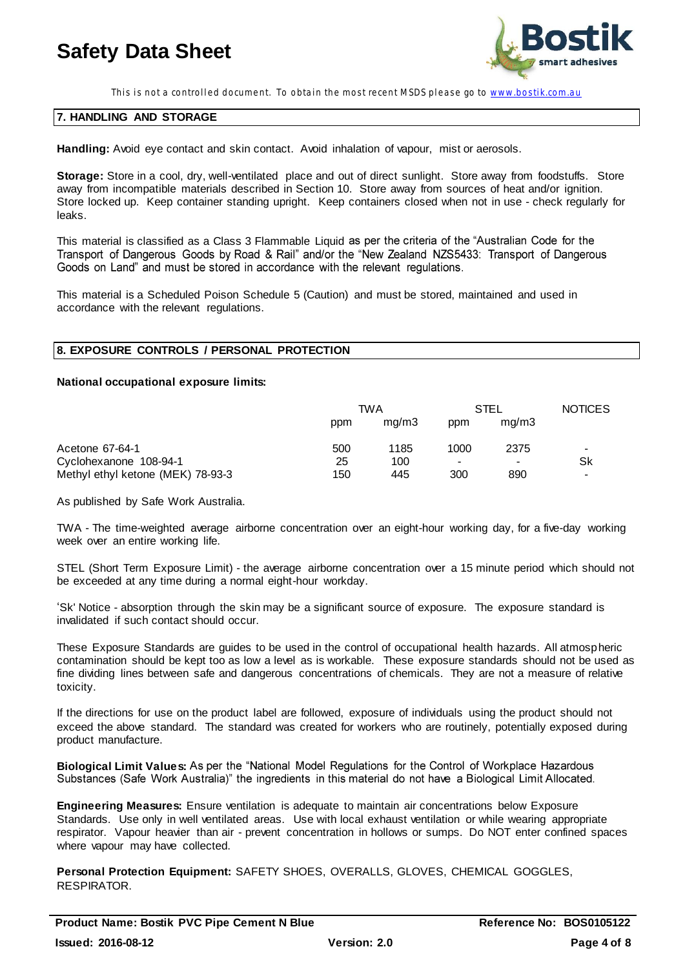

This is not a controlled document. To obtain the most recent MSDS please go to www.bostik.com.au

#### **7. HANDLING AND STORAGE**

**Handling:** Avoid eye contact and skin contact. Avoid inhalation of vapour, mist or aerosols.

**Storage:** Store in a cool, dry, well-ventilated place and out of direct sunlight. Store away from foodstuffs. Store away from incompatible materials described in Section 10. Store away from sources of heat and/or ignition. Store locked up. Keep container standing upright. Keep containers closed when not in use - check regularly for leaks.

This material is classified as a Class 3 Flammable Liquid as per the criteria of the "Australian Code for the<br>Transport of Dangerous Goods by Road & Rail" and/or the "New Zealand NZS5433: Transport of Dangerous Goods on Land" and must be stored in accordance with the relevant regulations.

This material is a Scheduled Poison Schedule 5 (Caution) and must be stored, maintained and used in accordance with the relevant regulations.

### **8. EXPOSURE CONTROLS / PERSONAL PROTECTION**

#### **National occupational exposure limits:**

|                                   | TWA |       | STEL |       | <b>NOTICES</b>           |
|-----------------------------------|-----|-------|------|-------|--------------------------|
|                                   | ppm | mq/m3 | ppm  | mq/m3 |                          |
| Acetone 67-64-1                   | 500 | 1185  | 1000 | 2375  | $\,$                     |
| Cyclohexanone 108-94-1            | 25  | 100   |      | ۰     | Sk                       |
| Methyl ethyl ketone (MEK) 78-93-3 | 150 | 445   | 300  | 890   | $\overline{\phantom{a}}$ |

As published by Safe Work Australia.

TWA - The time-weighted average airborne concentration over an eight-hour working day, for a five-day working week over an entire working life.

STEL (Short Term Exposure Limit) - the average airborne concentration over a 15 minute period which should not be exceeded at any time during a normal eight-hour workday.

Sk' Notice - absorption through the skin may be a significant source of exposure. The exposure standard is invalidated if such contact should occur.

These Exposure Standards are guides to be used in the control of occupational health hazards. All atmospheric contamination should be kept too as low a level as is workable. These exposure standards should not be used as fine dividing lines between safe and dangerous concentrations of chemicals. They are not a measure of relative toxicity.

If the directions for use on the product label are followed, exposure of individuals using the product should not exceed the above standard. The standard was created for workers who are routinely, potentially exposed during product manufacture.

**Biological Limit Values:** As per the "National Model Regulations for the Control of Workplace Hazardous Substances (Safe Work Australia)" the ingredients in this material do not have a Biological Limit Allocated.

**Engineering Measures:** Ensure ventilation is adequate to maintain air concentrations below Exposure Standards. Use only in well ventilated areas. Use with local exhaust ventilation or while wearing appropriate respirator. Vapour heavier than air - prevent concentration in hollows or sumps. Do NOT enter confined spaces where vapour may have collected.

**Personal Protection Equipment:** SAFETY SHOES, OVERALLS, GLOVES, CHEMICAL GOGGLES, RESPIRATOR.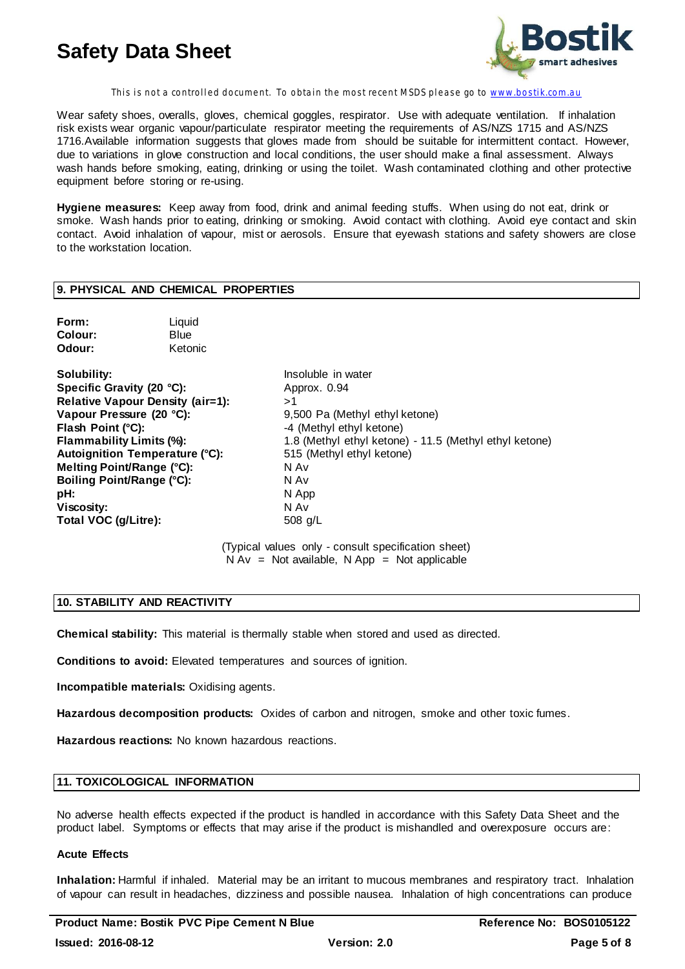

This is not a controlled document. To obtain the most recent MSDS please go to www.bostik.com.au

Wear safety shoes, overalls, gloves, chemical goggles, respirator. Use with adequate ventilation. If inhalation risk exists wear organic vapour/particulate respirator meeting the requirements of AS/NZS 1715 and AS/NZS 1716.Available information suggests that gloves made from should be suitable for intermittent contact. However, due to variations in glove construction and local conditions, the user should make a final assessment. Always wash hands before smoking, eating, drinking or using the toilet. Wash contaminated clothing and other protective equipment before storing or re-using.

**Hygiene measures:** Keep away from food, drink and animal feeding stuffs. When using do not eat, drink or smoke. Wash hands prior to eating, drinking or smoking. Avoid contact with clothing. Avoid eye contact and skin contact. Avoid inhalation of vapour, mist or aerosols. Ensure that eyewash stations and safety showers are close to the workstation location.

### **9. PHYSICAL AND CHEMICAL PROPERTIES**

| Form:   | Liquid  |
|---------|---------|
| Colour: | Blue    |
| Odour:  | Ketonic |

**Solubility:** Insoluble in water **Specific Gravity (20 °C):** Approx. 0.94 **Relative Vapour Density (air=1):** >1<br>**Vapour Pressure (20 °C):** 9,5 **Flash Point (°C):**<br> **Flammability Limits (%):**<br> **1.8** (Methyl ethyl ketone) Autoignition Temperature (°C): **Melting Point/Range (°C):** N Av **Boiling Point/Range (°C):** N Av **pH:** N App **Viscosity:** N Av **Total VOC (g/Litre):** 508 g/L

9,500 Pa (Methyl ethyl ketone) 1.8 (Methyl ethyl ketone) - 11.5 (Methyl ethyl ketone) 515 (Methyl ethyl ketone)

(Typical values only - consult specification sheet)  $N Av = Not available, N App = Not applicable$ 

#### **10. STABILITY AND REACTIVITY**

**Chemical stability:** This material is thermally stable when stored and used as directed.

**Conditions to avoid:** Elevated temperatures and sources of ignition.

**Incompatible materials:** Oxidising agents.

**Hazardous decomposition products:** Oxides of carbon and nitrogen, smoke and other toxic fumes.

**Hazardous reactions:** No known hazardous reactions.

#### **11. TOXICOLOGICAL INFORMATION**

No adverse health effects expected if the product is handled in accordance with this Safety Data Sheet and the product label. Symptoms or effects that may arise if the product is mishandled and overexposure occurs are:

### **Acute Effects**

**Inhalation:** Harmful if inhaled. Material may be an irritant to mucous membranes and respiratory tract. Inhalation of vapour can result in headaches, dizziness and possible nausea. Inhalation of high concentrations can produce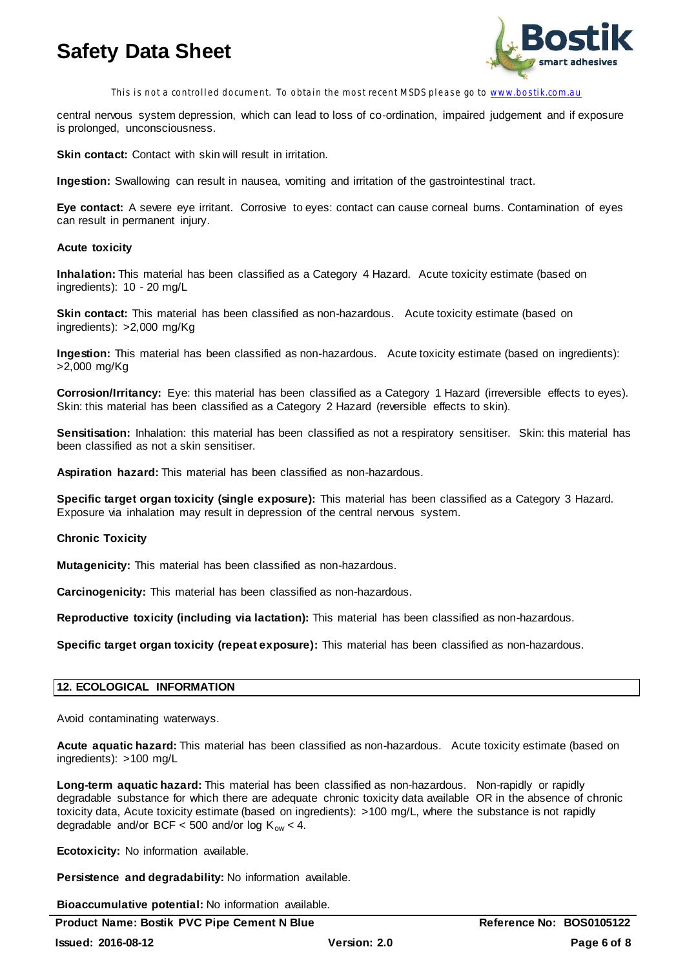

This is not a controlled document. To obtain the most recent MSDS please go to www.bostik.com.au

central nervous system depression, which can lead to loss of co-ordination, impaired judgement and if exposure is prolonged, unconsciousness.

**Skin contact:** Contact with skin will result in irritation.

**Ingestion:** Swallowing can result in nausea, vomiting and irritation of the gastrointestinal tract.

**Eye contact:** A severe eye irritant. Corrosive to eyes: contact can cause corneal burns. Contamination of eyes can result in permanent injury.

#### **Acute toxicity**

**Inhalation:** This material has been classified as a Category 4 Hazard. Acute toxicity estimate (based on ingredients): 10 - 20 mg/L

**Skin contact:** This material has been classified as non-hazardous. Acute toxicity estimate (based on ingredients): >2,000 mg/Kg

**Ingestion:** This material has been classified as non-hazardous. Acute toxicity estimate (based on ingredients): >2,000 mg/Kg

**Corrosion/Irritancy:** Eye: this material has been classified as a Category 1 Hazard (irreversible effects to eyes). Skin: this material has been classified as a Category 2 Hazard (reversible effects to skin).

**Sensitisation:** Inhalation: this material has been classified as not a respiratory sensitiser. Skin: this material has been classified as not a skin sensitiser.

**Aspiration hazard:** This material has been classified as non-hazardous.

**Specific target organ toxicity (single exposure):** This material has been classified as a Category 3 Hazard. Exposure via inhalation may result in depression of the central nervous system.

### **Chronic Toxicity**

**Mutagenicity:** This material has been classified as non-hazardous.

**Carcinogenicity:** This material has been classified as non-hazardous.

**Reproductive toxicity (including via lactation):** This material has been classified as non-hazardous.

**Specific target organ toxicity (repeat exposure):** This material has been classified as non-hazardous.

### **12. ECOLOGICAL INFORMATION**

Avoid contaminating waterways.

**Acute aquatic hazard:** This material has been classified as non-hazardous. Acute toxicity estimate (based on ingredients): >100 mg/L

**Long-term aquatic hazard:** This material has been classified as non-hazardous. Non-rapidly or rapidly degradable substance for which there are adequate chronic toxicity data available OR in the absence of chronic toxicity data, Acute toxicity estimate (based on ingredients): >100 mg/L, where the substance is not rapidly degradable and/or BCF < 500 and/or log  $K_{ow}$  < 4.

**Ecotoxicity:** No information available.

**Persistence and degradability:** No information available.

**Bioaccumulative potential:** No information available.

**Product Name: Bostik PVC Pipe Cement N Blue Reference No: BOS0105122**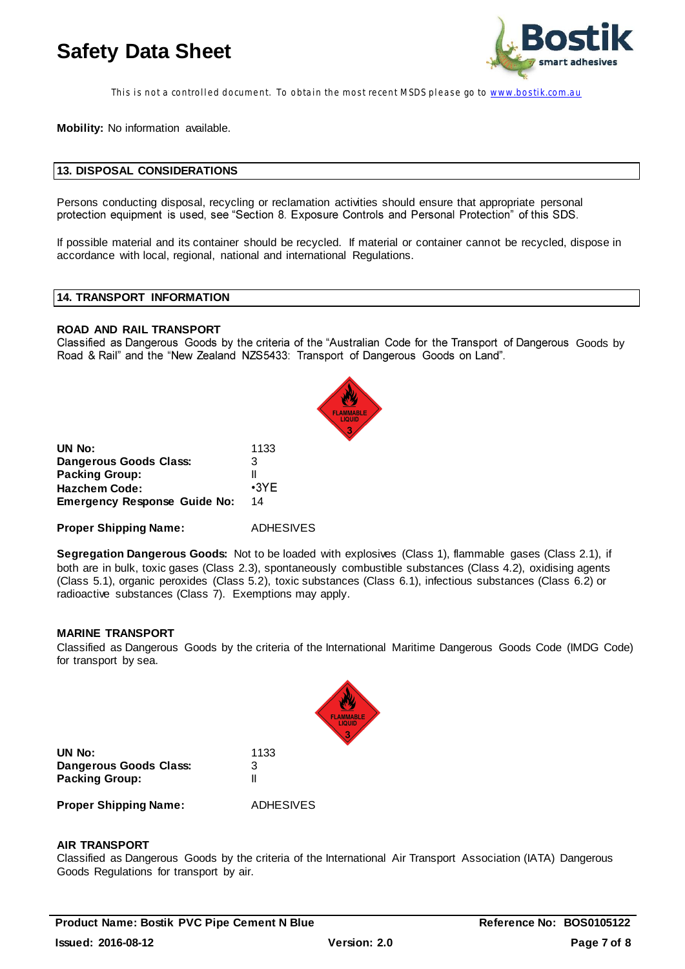

This is not a controlled document. To obtain the most recent MSDS please go to www.bostik.com.au

**Mobility:** No information available.

#### **13. DISPOSAL CONSIDERATIONS**

Persons conducting disposal, recycling or reclamation activities should ensure that appropriate personal protection equipment is used, see "Section 8. Exposure Controls and Personal Protection" of this SDS.

If possible material and its container should be recycled. If material or container cannot be recycled, dispose in accordance with local, regional, national and international Regulations.

## **14. TRANSPORT INFORMATION**

#### **ROAD AND RAIL TRANSPORT**

Classified as Dangerous Goods by the criteria of the "Australian Code for the Transport of Dangerous Goods by Road & Rail" and the "New Zealand NZS5433: Transport of Dangerous Goods on Land".

| 1133        |
|-------------|
| 3           |
| Ш           |
| $\cdot$ 3YE |
| 14          |
|             |

**Proper Shipping Name:** ADHESIVES

**Segregation Dangerous Goods:** Not to be loaded with explosives (Class 1), flammable gases (Class 2.1), if both are in bulk, toxic gases (Class 2.3), spontaneously combustible substances (Class 4.2), oxidising agents (Class 5.1), organic peroxides (Class 5.2), toxic substances (Class 6.1), infectious substances (Class 6.2) or radioactive substances (Class 7). Exemptions may apply.

#### **MARINE TRANSPORT**

Classified as Dangerous Goods by the criteria of the International Maritime Dangerous Goods Code (IMDG Code) for transport by sea.



| UN No:                                                | 1133      |  |  |
|-------------------------------------------------------|-----------|--|--|
| Dangerous Goods Class:                                | З         |  |  |
| <b>Packing Group:</b><br><b>Proper Shipping Name:</b> | ADHESIVES |  |  |

#### **AIR TRANSPORT**

Classified as Dangerous Goods by the criteria of the International Air Transport Association (IATA) Dangerous Goods Regulations for transport by air.